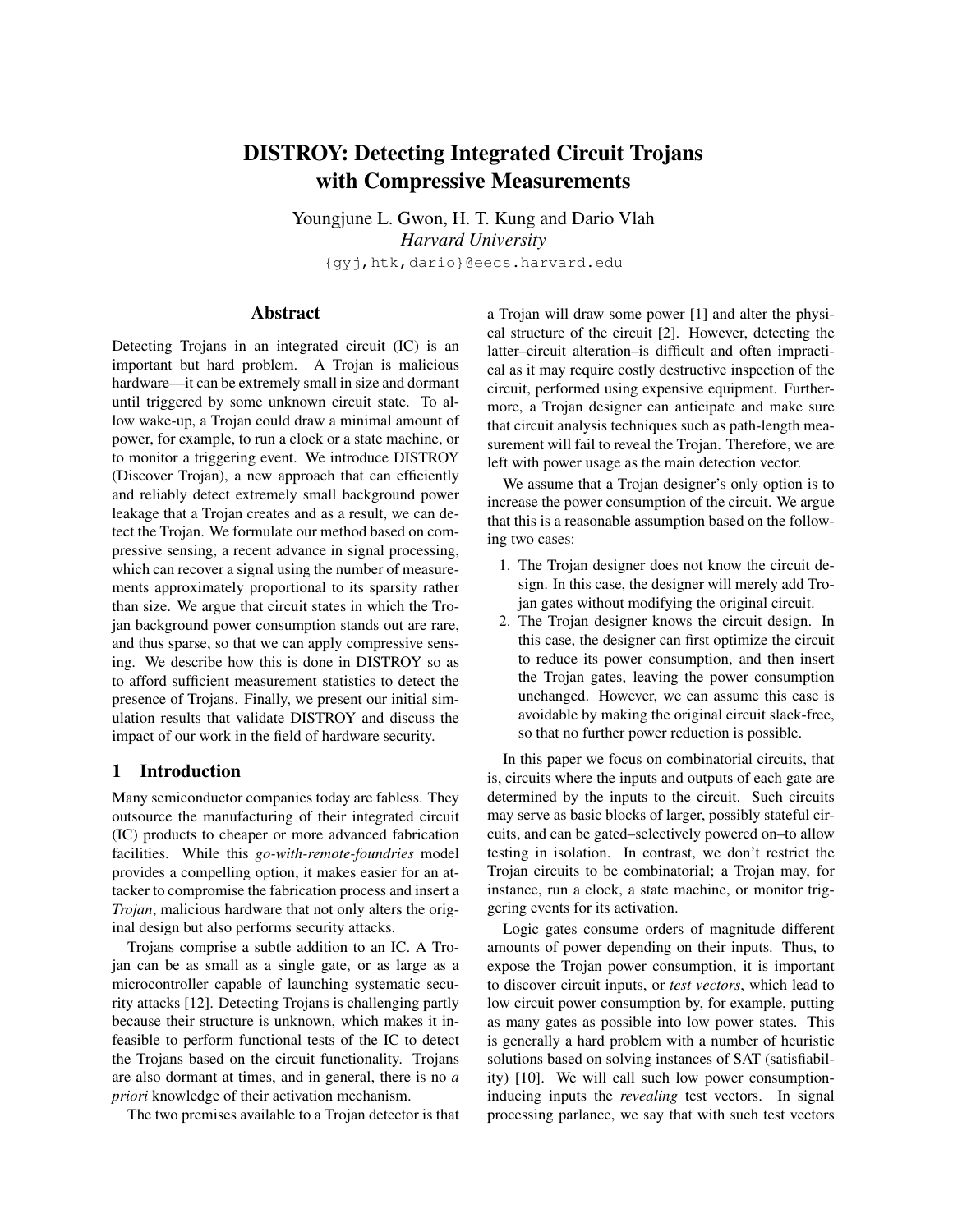# DISTROY: Detecting Integrated Circuit Trojans with Compressive Measurements

Youngjune L. Gwon, H. T. Kung and Dario Vlah *Harvard University* {gyj,htk,dario}@eecs.harvard.edu

## Abstract

Detecting Trojans in an integrated circuit (IC) is an important but hard problem. A Trojan is malicious hardware—it can be extremely small in size and dormant until triggered by some unknown circuit state. To allow wake-up, a Trojan could draw a minimal amount of power, for example, to run a clock or a state machine, or to monitor a triggering event. We introduce DISTROY (Discover Trojan), a new approach that can efficiently and reliably detect extremely small background power leakage that a Trojan creates and as a result, we can detect the Trojan. We formulate our method based on compressive sensing, a recent advance in signal processing, which can recover a signal using the number of measurements approximately proportional to its sparsity rather than size. We argue that circuit states in which the Trojan background power consumption stands out are rare, and thus sparse, so that we can apply compressive sensing. We describe how this is done in DISTROY so as to afford sufficient measurement statistics to detect the presence of Trojans. Finally, we present our initial simulation results that validate DISTROY and discuss the impact of our work in the field of hardware security.

## 1 Introduction

Many semiconductor companies today are fabless. They outsource the manufacturing of their integrated circuit (IC) products to cheaper or more advanced fabrication facilities. While this *go-with-remote-foundries* model provides a compelling option, it makes easier for an attacker to compromise the fabrication process and insert a *Trojan*, malicious hardware that not only alters the original design but also performs security attacks.

Trojans comprise a subtle addition to an IC. A Trojan can be as small as a single gate, or as large as a microcontroller capable of launching systematic security attacks [12]. Detecting Trojans is challenging partly because their structure is unknown, which makes it infeasible to perform functional tests of the IC to detect the Trojans based on the circuit functionality. Trojans are also dormant at times, and in general, there is no *a priori* knowledge of their activation mechanism.

The two premises available to a Trojan detector is that

a Trojan will draw some power [1] and alter the physical structure of the circuit [2]. However, detecting the latter–circuit alteration–is difficult and often impractical as it may require costly destructive inspection of the circuit, performed using expensive equipment. Furthermore, a Trojan designer can anticipate and make sure that circuit analysis techniques such as path-length measurement will fail to reveal the Trojan. Therefore, we are left with power usage as the main detection vector.

We assume that a Trojan designer's only option is to increase the power consumption of the circuit. We argue that this is a reasonable assumption based on the following two cases:

- 1. The Trojan designer does not know the circuit design. In this case, the designer will merely add Trojan gates without modifying the original circuit.
- 2. The Trojan designer knows the circuit design. In this case, the designer can first optimize the circuit to reduce its power consumption, and then insert the Trojan gates, leaving the power consumption unchanged. However, we can assume this case is avoidable by making the original circuit slack-free, so that no further power reduction is possible.

In this paper we focus on combinatorial circuits, that is, circuits where the inputs and outputs of each gate are determined by the inputs to the circuit. Such circuits may serve as basic blocks of larger, possibly stateful circuits, and can be gated–selectively powered on–to allow testing in isolation. In contrast, we don't restrict the Trojan circuits to be combinatorial; a Trojan may, for instance, run a clock, a state machine, or monitor triggering events for its activation.

Logic gates consume orders of magnitude different amounts of power depending on their inputs. Thus, to expose the Trojan power consumption, it is important to discover circuit inputs, or *test vectors*, which lead to low circuit power consumption by, for example, putting as many gates as possible into low power states. This is generally a hard problem with a number of heuristic solutions based on solving instances of SAT (satisfiability) [10]. We will call such low power consumptioninducing inputs the *revealing* test vectors. In signal processing parlance, we say that with such test vectors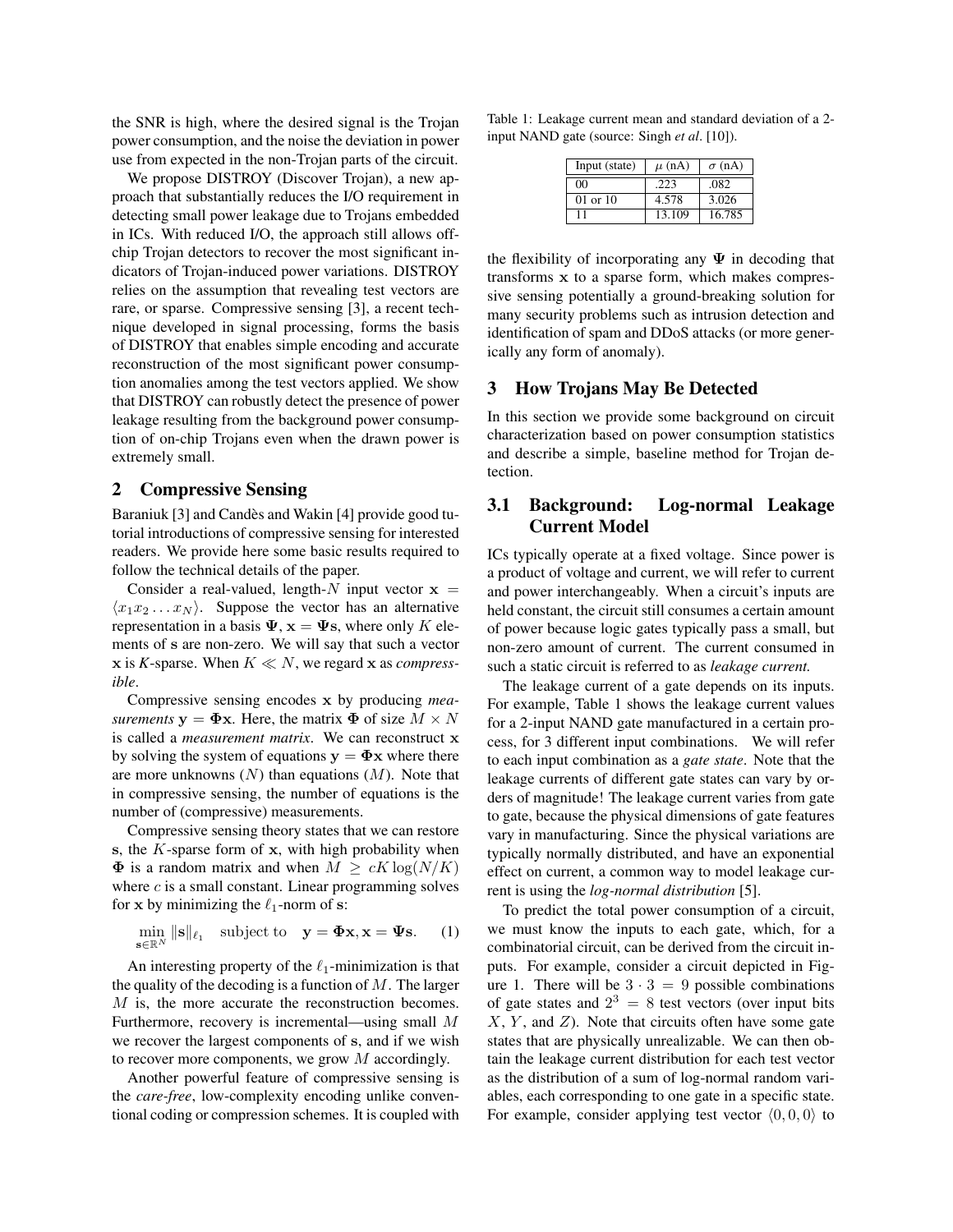the SNR is high, where the desired signal is the Trojan power consumption, and the noise the deviation in power use from expected in the non-Trojan parts of the circuit.

We propose DISTROY (Discover Trojan), a new approach that substantially reduces the I/O requirement in detecting small power leakage due to Trojans embedded in ICs. With reduced I/O, the approach still allows offchip Trojan detectors to recover the most significant indicators of Trojan-induced power variations. DISTROY relies on the assumption that revealing test vectors are rare, or sparse. Compressive sensing [3], a recent technique developed in signal processing, forms the basis of DISTROY that enables simple encoding and accurate reconstruction of the most significant power consumption anomalies among the test vectors applied. We show that DISTROY can robustly detect the presence of power leakage resulting from the background power consumption of on-chip Trojans even when the drawn power is extremely small.

## 2 Compressive Sensing

Baraniuk [3] and Candès and Wakin [4] provide good tutorial introductions of compressive sensing for interested readers. We provide here some basic results required to follow the technical details of the paper.

Consider a real-valued, length- $N$  input vector  $x =$  $\langle x_1 x_2 ... x_N \rangle$ . Suppose the vector has an alternative representation in a basis  $\Psi$ ,  $\mathbf{x} = \Psi$ s, where only *K* elements of s are non-zero. We will say that such a vector  $x$  is *K*-sparse. When  $K \ll N$ , we regard x as *compressible*.

Compressive sensing encodes x by producing *measurements*  $y = \Phi x$ . Here, the matrix  $\Phi$  of size  $M \times N$ is called a *measurement matrix*. We can reconstruct x by solving the system of equations  $y = \Phi x$  where there are more unknowns (*N*) than equations (*M*). Note that in compressive sensing, the number of equations is the number of (compressive) measurements.

Compressive sensing theory states that we can restore s, the *K*-sparse form of x, with high probability when  $\Phi$  is a random matrix and when  $M \ge cK \log(N/K)$ where *c* is a small constant. Linear programming solves for x by minimizing the  $\ell_1$ -norm of s:

$$
\min_{\mathbf{s}\in\mathbb{R}^N} \|\mathbf{s}\|_{\ell_1} \quad \text{subject to} \quad \mathbf{y} = \mathbf{\Phi}\mathbf{x}, \mathbf{x} = \mathbf{\Psi}\mathbf{s}. \tag{1}
$$

An interesting property of the  $\ell_1$ -minimization is that the quality of the decoding is a function of *M*. The larger *M* is, the more accurate the reconstruction becomes. Furthermore, recovery is incremental—using small *M* we recover the largest components of s, and if we wish to recover more components, we grow *M* accordingly.

Another powerful feature of compressive sensing is the *care-free*, low-complexity encoding unlike conventional coding or compression schemes. It is coupled with

Table 1: Leakage current mean and standard deviation of a 2 input NAND gate (source: Singh *et al*. [10]).

| Input (state)  | $\mu$ (nA) | $\sigma$ (nA) |
|----------------|------------|---------------|
| 0 <sup>0</sup> | -223       | .082          |
| $01$ or $10$   | 4.578      | 3.026         |
|                | 13.109     | 16.785        |

the flexibility of incorporating any  $\Psi$  in decoding that transforms x to a sparse form, which makes compressive sensing potentially a ground-breaking solution for many security problems such as intrusion detection and identification of spam and DDoS attacks (or more generically any form of anomaly).

## 3 How Trojans May Be Detected

In this section we provide some background on circuit characterization based on power consumption statistics and describe a simple, baseline method for Trojan detection.

## 3.1 Background: Log-normal Leakage Current Model

ICs typically operate at a fixed voltage. Since power is a product of voltage and current, we will refer to current and power interchangeably. When a circuit's inputs are held constant, the circuit still consumes a certain amount of power because logic gates typically pass a small, but non-zero amount of current. The current consumed in such a static circuit is referred to as *leakage current.*

The leakage current of a gate depends on its inputs. For example, Table 1 shows the leakage current values for a 2-input NAND gate manufactured in a certain process, for 3 different input combinations. We will refer to each input combination as a *gate state*. Note that the leakage currents of different gate states can vary by orders of magnitude! The leakage current varies from gate to gate, because the physical dimensions of gate features vary in manufacturing. Since the physical variations are typically normally distributed, and have an exponential effect on current, a common way to model leakage current is using the *log-normal distribution* [5].

To predict the total power consumption of a circuit, we must know the inputs to each gate, which, for a combinatorial circuit, can be derived from the circuit inputs. For example, consider a circuit depicted in Figure 1. There will be  $3 \cdot 3 = 9$  possible combinations of gate states and  $2^3 = 8$  test vectors (over input bits *X*, *Y* , and *Z*). Note that circuits often have some gate states that are physically unrealizable. We can then obtain the leakage current distribution for each test vector as the distribution of a sum of log-normal random variables, each corresponding to one gate in a specific state. For example, consider applying test vector  $(0, 0, 0)$  to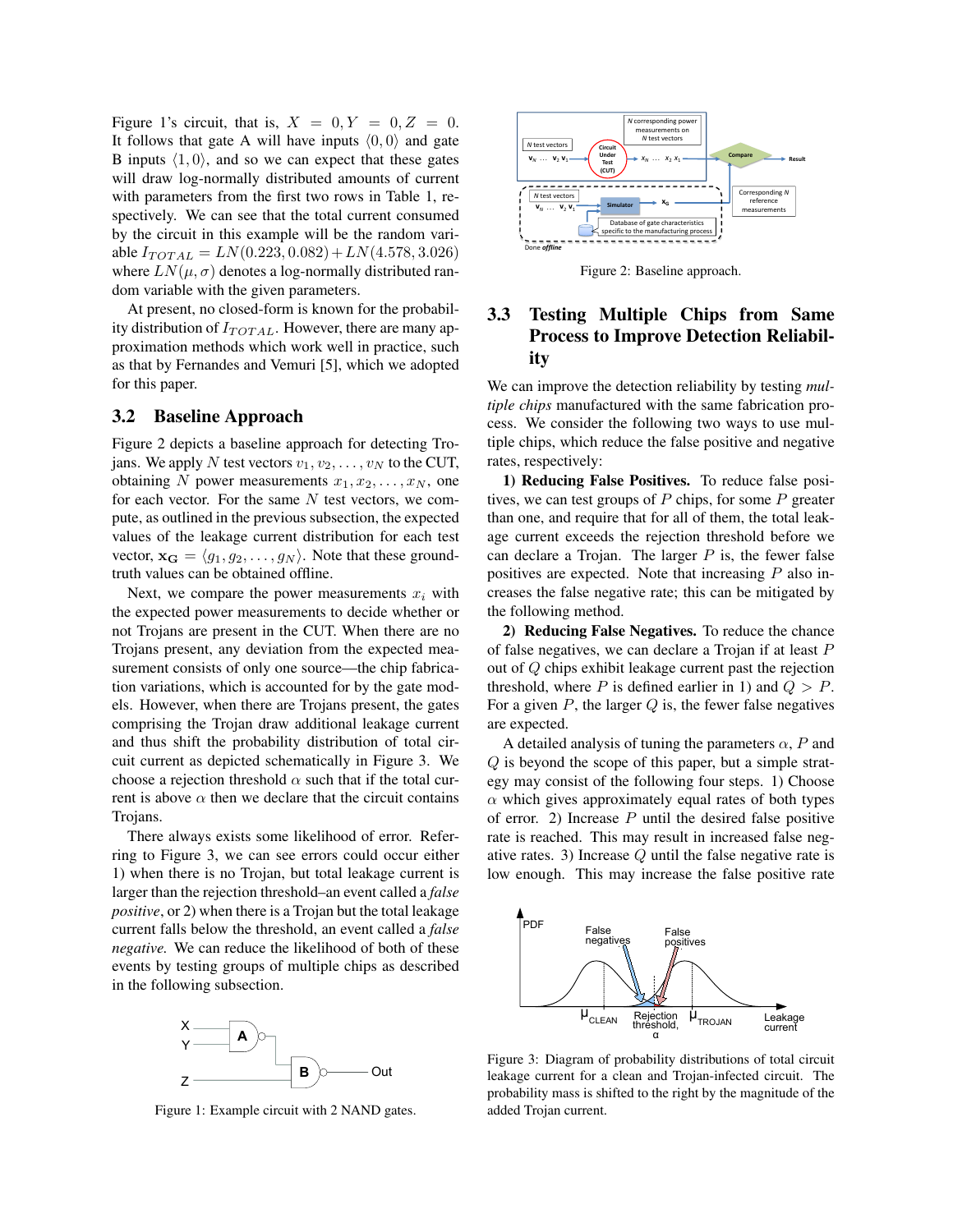Figure 1's circuit, that is,  $X = 0, Y = 0, Z = 0$ . It follows that gate A will have inputs  $(0,0)$  and gate B inputs  $\langle 1, 0 \rangle$ , and so we can expect that these gates will draw log-normally distributed amounts of current with parameters from the first two rows in Table 1, respectively. We can see that the total current consumed by the circuit in this example will be the random vari $a$ ble  $I_{TOTAL} = LN(0.223, 0.082) + LN(4.578, 3.026)$ where  $LN(\mu, \sigma)$  denotes a log-normally distributed random variable with the given parameters.

At present, no closed-form is known for the probability distribution of *I*<sub>*TOTAL*</sub>. However, there are many approximation methods which work well in practice, such as that by Fernandes and Vemuri [5], which we adopted for this paper.

#### 3.2 Baseline Approach

Figure 2 depicts a baseline approach for detecting Trojans. We apply *N* test vectors  $v_1, v_2, \ldots, v_N$  to the CUT, obtaining *N* power measurements  $x_1, x_2, \ldots, x_N$ , one for each vector. For the same *N* test vectors, we compute, as outlined in the previous subsection, the expected values of the leakage current distribution for each test vector,  $\mathbf{x_G} = \langle g_1, g_2, \dots, g_N \rangle$ . Note that these groundtruth values can be obtained offline.

Next, we compare the power measurements  $x_i$  with the expected power measurements to decide whether or not Trojans are present in the CUT. When there are no Trojans present, any deviation from the expected measurement consists of only one source—the chip fabrication variations, which is accounted for by the gate models. However, when there are Trojans present, the gates comprising the Trojan draw additional leakage current and thus shift the probability distribution of total circuit current as depicted schematically in Figure 3. We choose a rejection threshold  $\alpha$  such that if the total current is above  $\alpha$  then we declare that the circuit contains Trojans.

There always exists some likelihood of error. Referring to Figure 3, we can see errors could occur either 1) when there is no Trojan, but total leakage current is larger than the rejection threshold–an event called a *false positive*, or 2) when there is a Trojan but the total leakage current falls below the threshold, an event called a *false negative.* We can reduce the likelihood of both of these events by testing groups of multiple chips as described in the following subsection.



Figure 1: Example circuit with 2 NAND gates.



Figure 2: Baseline approach.

# 3.3 Testing Multiple Chips from Same Process to Improve Detection Reliability

We can improve the detection reliability by testing *multiple chips* manufactured with the same fabrication process. We consider the following two ways to use multiple chips, which reduce the false positive and negative rates, respectively:

1) Reducing False Positives. To reduce false positives, we can test groups of *P* chips, for some *P* greater than one, and require that for all of them, the total leakage current exceeds the rejection threshold before we can declare a Trojan. The larger *P* is, the fewer false positives are expected. Note that increasing *P* also increases the false negative rate; this can be mitigated by the following method.

2) Reducing False Negatives. To reduce the chance of false negatives, we can declare a Trojan if at least *P* out of *Q* chips exhibit leakage current past the rejection threshold, where *P* is defined earlier in 1) and  $Q > P$ . For a given *P*, the larger *Q* is, the fewer false negatives are expected.

A detailed analysis of tuning the parameters  $\alpha$ , *P* and *Q* is beyond the scope of this paper, but a simple strategy may consist of the following four steps. 1) Choose  $\alpha$  which gives approximately equal rates of both types of error. 2) Increase *P* until the desired false positive rate is reached. This may result in increased false negative rates. 3) Increase *Q* until the false negative rate is low enough. This may increase the false positive rate



Figure 3: Diagram of probability distributions of total circuit leakage current for a clean and Trojan-infected circuit. The probability mass is shifted to the right by the magnitude of the added Trojan current.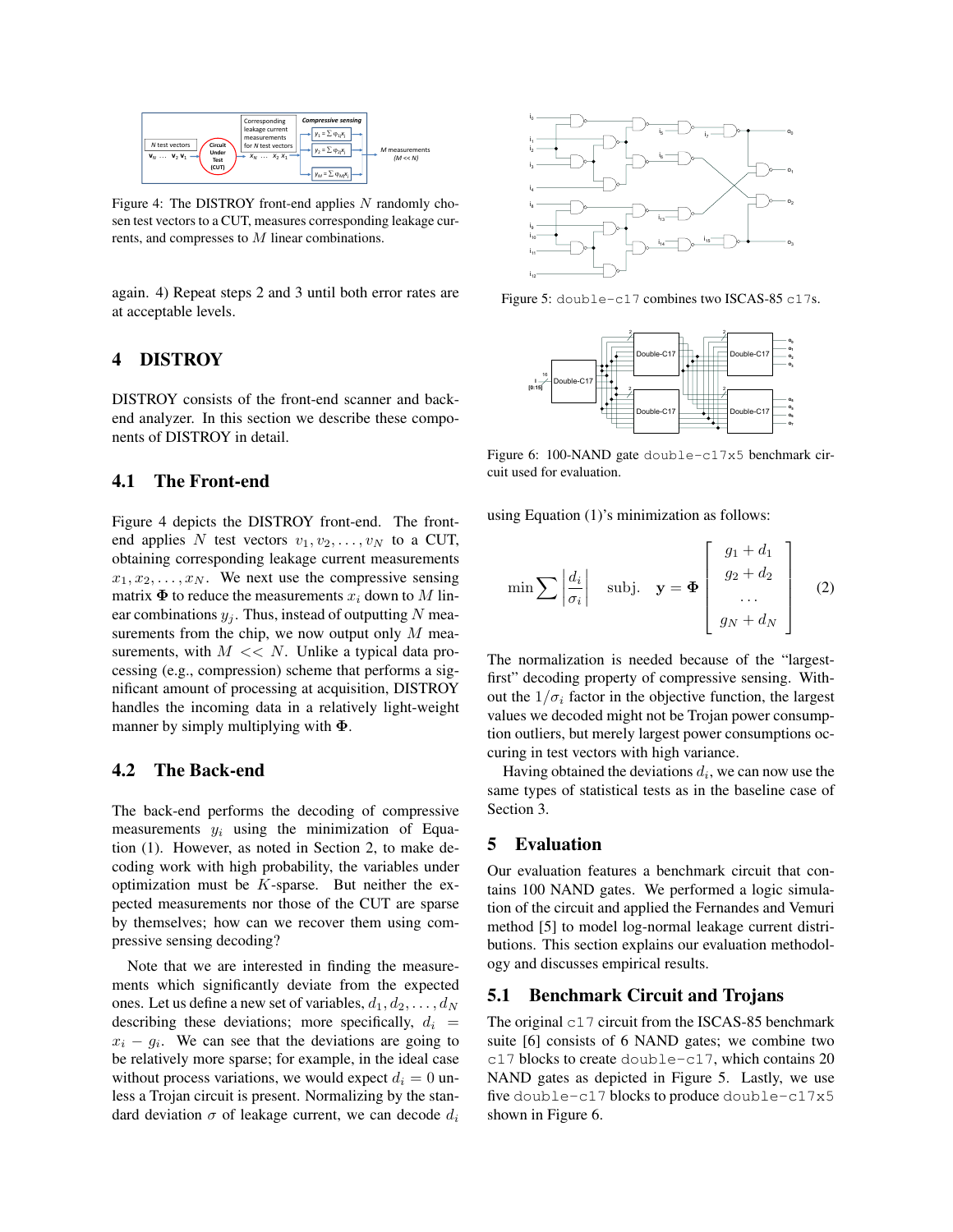

Figure 4: The DISTROY front-end applies *N* randomly chosen test vectors to a CUT, measures corresponding leakage currents, and compresses to *M* linear combinations.

again. 4) Repeat steps 2 and 3 until both error rates are at acceptable levels.

# 4 DISTROY

DISTROY consists of the front-end scanner and backend analyzer. In this section we describe these components of DISTROY in detail.

## 4.1 The Front-end

Figure 4 depicts the DISTROY front-end. The frontend applies *N* test vectors  $v_1, v_2, \ldots, v_N$  to a CUT, obtaining corresponding leakage current measurements  $x_1, x_2, \ldots, x_N$ . We next use the compressive sensing matrix  $\Phi$  to reduce the measurements  $x_i$  down to M linear combinations  $y_j$ . Thus, instead of outputting N measurements from the chip, we now output only *M* measurements, with  $M \ll N$ . Unlike a typical data processing (e.g., compression) scheme that performs a significant amount of processing at acquisition, DISTROY handles the incoming data in a relatively light-weight manner by simply multiplying with  $\Phi$ .

## 4.2 The Back-end

The back-end performs the decoding of compressive measurements  $y_i$  using the minimization of Equation (1). However, as noted in Section 2, to make decoding work with high probability, the variables under optimization must be *K*-sparse. But neither the expected measurements nor those of the CUT are sparse by themselves; how can we recover them using compressive sensing decoding?

Note that we are interested in finding the measurements which significantly deviate from the expected ones. Let us define a new set of variables,  $d_1, d_2, \ldots, d_N$ describing these deviations; more specifically,  $d_i$  =  $x_i - g_i$ . We can see that the deviations are going to be relatively more sparse; for example, in the ideal case without process variations, we would expect  $d_i = 0$  unless a Trojan circuit is present. Normalizing by the standard deviation  $\sigma$  of leakage current, we can decode  $d_i$ 



Figure 5: double-c17 combines two ISCAS-85 c17s.



Figure 6: 100-NAND gate double-c17x5 benchmark circuit used for evaluation.

using Equation (1)'s minimization as follows:

$$
\min \sum \left| \frac{d_i}{\sigma_i} \right| \quad \text{subj.} \quad \mathbf{y} = \boldsymbol{\Phi} \left[ \begin{array}{c} g_1 + d_1 \\ g_2 + d_2 \\ \dots \\ g_N + d_N \end{array} \right] \quad (2)
$$

The normalization is needed because of the "largestfirst" decoding property of compressive sensing. Without the  $1/\sigma_i$  factor in the objective function, the largest values we decoded might not be Trojan power consumption outliers, but merely largest power consumptions occuring in test vectors with high variance.

Having obtained the deviations  $d_i$ , we can now use the same types of statistical tests as in the baseline case of Section 3.

#### 5 Evaluation

Our evaluation features a benchmark circuit that contains 100 NAND gates. We performed a logic simulation of the circuit and applied the Fernandes and Vemuri method [5] to model log-normal leakage current distributions. This section explains our evaluation methodology and discusses empirical results.

## 5.1 Benchmark Circuit and Trojans

The original  $c17$  circuit from the ISCAS-85 benchmark suite [6] consists of 6 NAND gates; we combine two c17 blocks to create double-c17, which contains 20 NAND gates as depicted in Figure 5. Lastly, we use five double-c17 blocks to produce double-c17x5 shown in Figure 6.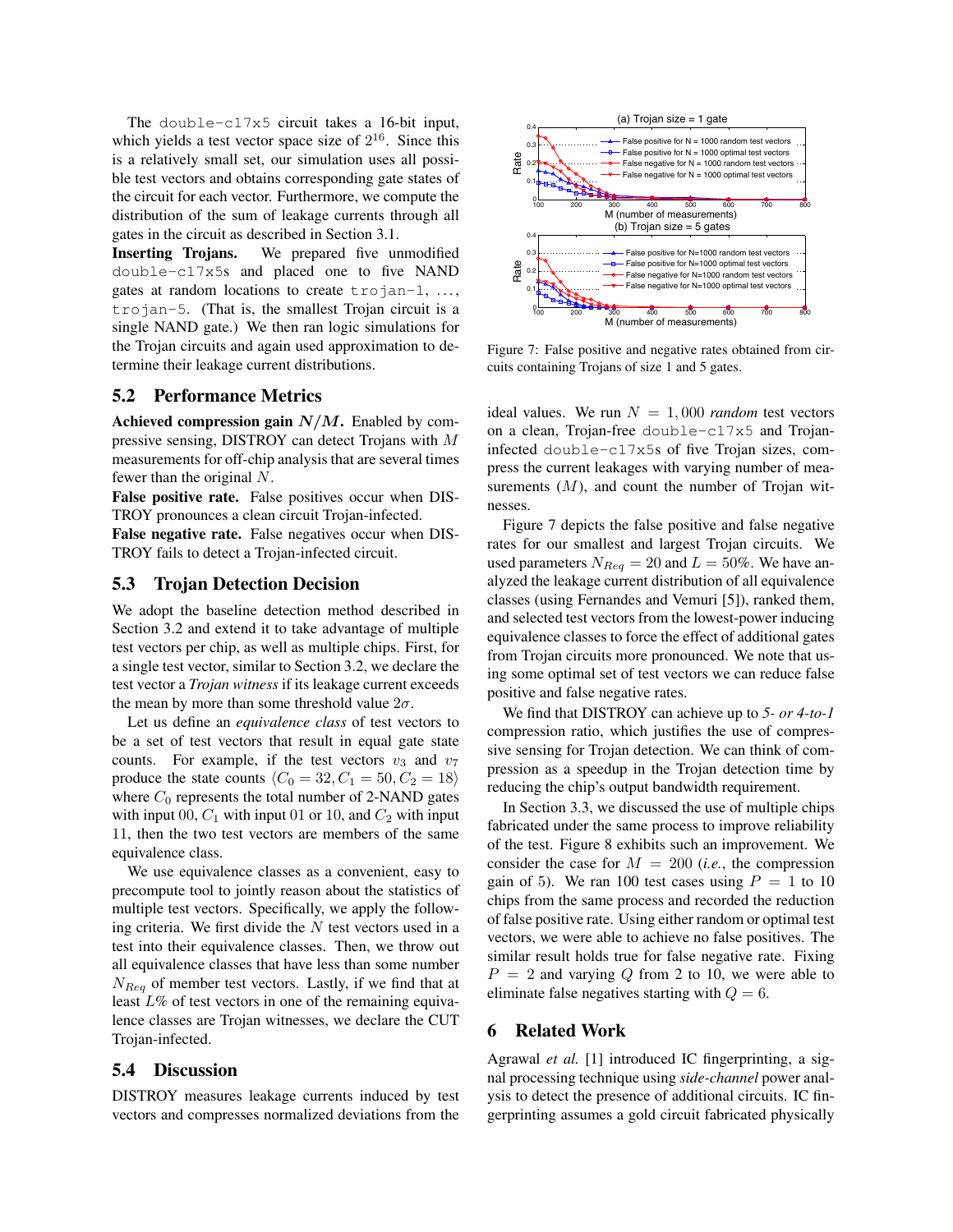The double-c17x5 circuit takes a 16-bit input, which yields a test vector space size of  $2^{16}$ . Since this is a relatively small set, our simulation uses all possible test vectors and obtains corresponding gate states of the circuit for each vector. Furthermore, we compute the distribution of the sum of leakage currents through all gates in the circuit as described in Section 3.1.

Inserting Trojans. We prepared five unmodified double-c17x5s and placed one to five NAND gates at random locations to create trojan-1, ..., trojan-5. (That is, the smallest Trojan circuit is a single NAND gate.) We then ran logic simulations for the Trojan circuits and again used approximation to determine their leakage current distributions.

#### 5.2 Performance Metrics

Achieved compression gain *N/M*. Enabled by compressive sensing, DISTROY can detect Trojans with *M* measurements for off-chip analysis that are several times fewer than the original *N*.

False positive rate. False positives occur when DIS-TROY pronounces a clean circuit Trojan-infected.

False negative rate. False negatives occur when DIS-TROY fails to detect a Trojan-infected circuit.

## 5.3 Trojan Detection Decision

We adopt the baseline detection method described in Section 3.2 and extend it to take advantage of multiple test vectors per chip, as well as multiple chips. First, for a single test vector, similar to Section 3.2, we declare the test vector a *Trojan witness* if its leakage current exceeds the mean by more than some threshold value  $2\sigma$ .

Let us define an *equivalence class* of test vectors to be a set of test vectors that result in equal gate state counts. For example, if the test vectors  $v_3$  and  $v_7$ produce the state counts  $\langle C_0 = 32, C_1 = 50, C_2 = 18 \rangle$ where  $C_0$  represents the total number of 2-NAND gates with input 00,  $C_1$  with input 01 or 10, and  $C_2$  with input 11, then the two test vectors are members of the same equivalence class.

We use equivalence classes as a convenient, easy to precompute tool to jointly reason about the statistics of multiple test vectors. Specifically, we apply the following criteria. We first divide the *N* test vectors used in a test into their equivalence classes. Then, we throw out all equivalence classes that have less than some number *NReq* of member test vectors. Lastly, if we find that at least *L*% of test vectors in one of the remaining equivalence classes are Trojan witnesses, we declare the CUT Trojan-infected.

## 5.4 Discussion

DISTROY measures leakage currents induced by test vectors and compresses normalized deviations from the



Figure 7: False positive and negative rates obtained from circuits containing Trojans of size 1 and 5 gates.

ideal values. We run  $N = 1,000$  *random* test vectors on a clean, Trojan-free double-c17x5 and Trojaninfected double-c17x5s of five Trojan sizes, compress the current leakages with varying number of measurements (M), and count the number of Trojan witnesses.

Figure 7 depicts the false positive and false negative rates for our smallest and largest Trojan circuits. We used parameters  $N_{Req} = 20$  and  $L = 50\%$ . We have analyzed the leakage current distribution of all equivalence classes (using Fernandes and Vemuri [5]), ranked them, and selected test vectors from the lowest-power inducing equivalence classes to force the effect of additional gates from Trojan circuits more pronounced. We note that using some optimal set of test vectors we can reduce false positive and false negative rates.

We find that DISTROY can achieve up to *5- or 4-to-1* compression ratio, which justifies the use of compressive sensing for Trojan detection. We can think of compression as a speedup in the Trojan detection time by reducing the chip's output bandwidth requirement.

In Section 3.3, we discussed the use of multiple chips fabricated under the same process to improve reliability of the test. Figure 8 exhibits such an improvement. We consider the case for  $M = 200$  (*i.e.*, the compression gain of 5). We ran 100 test cases using  $P = 1$  to 10 chips from the same process and recorded the reduction of false positive rate. Using either random or optimal test vectors, we were able to achieve no false positives. The similar result holds true for false negative rate. Fixing  $P = 2$  and varying  $Q$  from 2 to 10, we were able to eliminate false negatives starting with  $Q = 6$ .

## 6 Related Work

Agrawal *et al.* [1] introduced IC fingerprinting, a signal processing technique using *side-channel* power analysis to detect the presence of additional circuits. IC fingerprinting assumes a gold circuit fabricated physically